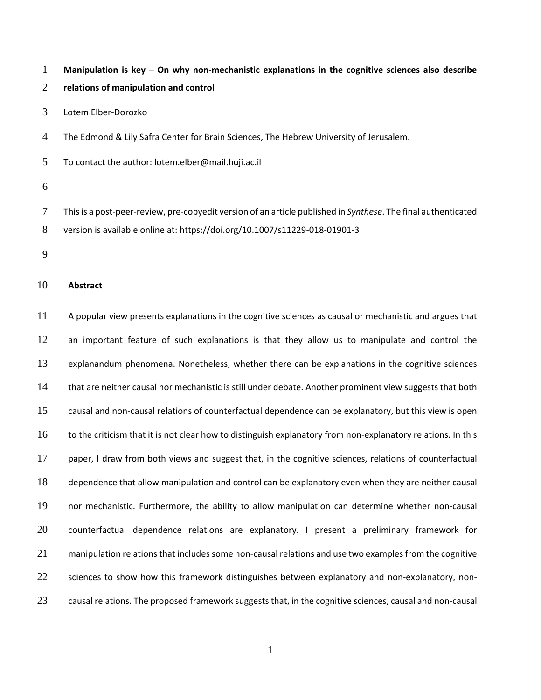**Manipulation is key – On why non-mechanistic explanations in the cognitive sciences also describe**

- **relations of manipulation and control**
- Lotem Elber-Dorozko

The Edmond & Lily Safra Center for Brain Sciences, The Hebrew University of Jerusalem.

To contact the author: [lotem.elber@mail.huji.ac.il](mailto:lotem.elber@mail.huji.ac.il)

 Thisis a post-peer-review, pre-copyedit version of an article published in *Synthese*. The final authenticated version is available online at: https://doi.org/10.1007/s11229-018-01901-3

### **Abstract**

 A popular view presents explanations in the cognitive sciences as causal or mechanistic and argues that 12 an important feature of such explanations is that they allow us to manipulate and control the explanandum phenomena. Nonetheless, whether there can be explanations in the cognitive sciences 14 that are neither causal nor mechanistic is still under debate. Another prominent view suggests that both causal and non-causal relations of counterfactual dependence can be explanatory, but this view is open 16 to the criticism that it is not clear how to distinguish explanatory from non-explanatory relations. In this 17 paper, I draw from both views and suggest that, in the cognitive sciences, relations of counterfactual dependence that allow manipulation and control can be explanatory even when they are neither causal nor mechanistic. Furthermore, the ability to allow manipulation can determine whether non-causal 20 counterfactual dependence relations are explanatory. I present a preliminary framework for 21 manipulation relations that includes some non-causal relations and use two examples from the cognitive 22 sciences to show how this framework distinguishes between explanatory and non-explanatory, non-23 causal relations. The proposed framework suggests that, in the cognitive sciences, causal and non-causal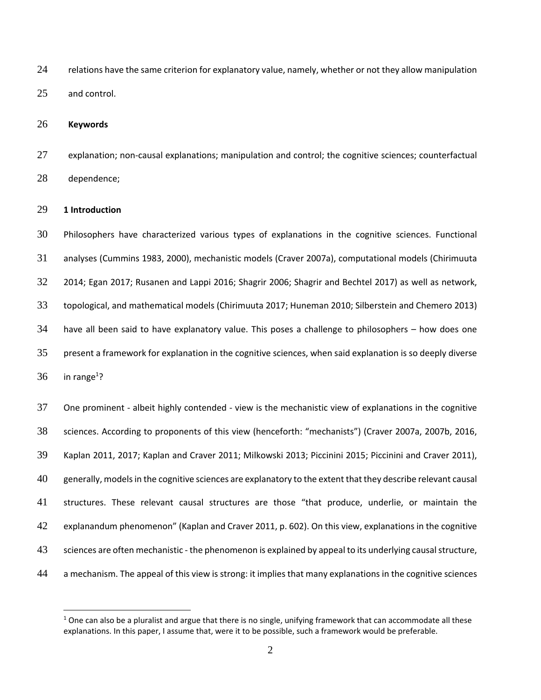24 relations have the same criterion for explanatory value, namely, whether or not they allow manipulation and control.

**Keywords**

27 explanation; non-causal explanations; manipulation and control; the cognitive sciences; counterfactual dependence;

### **1 Introduction**

 $\overline{a}$ 

 Philosophers have characterized various types of explanations in the cognitive sciences. Functional analyses (Cummins 1983, 2000), mechanistic models (Craver 2007a), computational models (Chirimuuta 2014; Egan 2017; Rusanen and Lappi 2016; Shagrir 2006; Shagrir and Bechtel 2017) as well as network, topological, and mathematical models (Chirimuuta 2017; Huneman 2010; Silberstein and Chemero 2013) have all been said to have explanatory value. This poses a challenge to philosophers – how does one present a framework for explanation in the cognitive sciences, when said explanation is so deeply diverse in range<sup>1</sup>?

 One prominent - albeit highly contended - view is the mechanistic view of explanations in the cognitive sciences. According to proponents of this view (henceforth: "mechanists") (Craver 2007a, 2007b, 2016, Kaplan 2011, 2017; Kaplan and Craver 2011; Milkowski 2013; Piccinini 2015; Piccinini and Craver 2011), generally, modelsin the cognitive sciences are explanatory to the extent that they describe relevant causal structures. These relevant causal structures are those "that produce, underlie, or maintain the explanandum phenomenon" (Kaplan and Craver 2011, p. 602). On this view, explanations in the cognitive 43 sciences are often mechanistic - the phenomenon is explained by appeal to its underlying causal structure, a mechanism. The appeal of this view is strong: it implies that many explanations in the cognitive sciences

 One can also be a pluralist and argue that there is no single, unifying framework that can accommodate all these explanations. In this paper, I assume that, were it to be possible, such a framework would be preferable.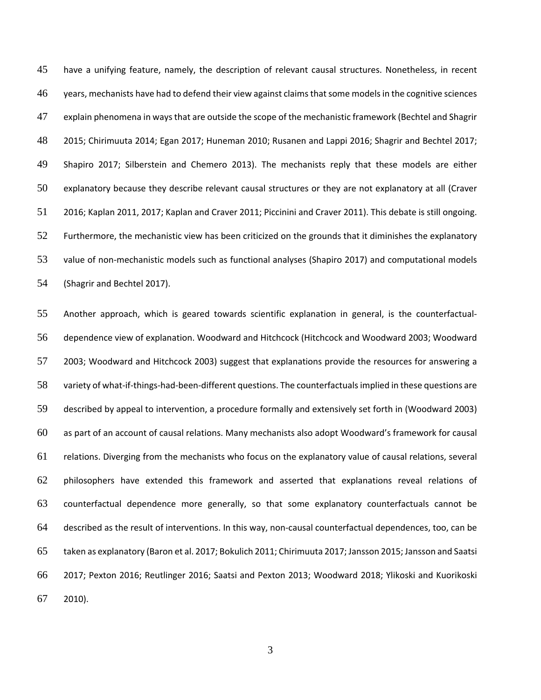have a unifying feature, namely, the description of relevant causal structures. Nonetheless, in recent 46 years, mechanists have had to defend their view against claims that some models in the cognitive sciences explain phenomena in waysthat are outside the scope of the mechanistic framework (Bechtel and Shagrir 2015; Chirimuuta 2014; Egan 2017; Huneman 2010; Rusanen and Lappi 2016; Shagrir and Bechtel 2017; Shapiro 2017; Silberstein and Chemero 2013). The mechanists reply that these models are either explanatory because they describe relevant causal structures or they are not explanatory at all (Craver 2016; Kaplan 2011, 2017; Kaplan and Craver 2011; Piccinini and Craver 2011). This debate is still ongoing. Furthermore, the mechanistic view has been criticized on the grounds that it diminishes the explanatory value of non-mechanistic models such as functional analyses (Shapiro 2017) and computational models (Shagrir and Bechtel 2017).

 Another approach, which is geared towards scientific explanation in general, is the counterfactual- dependence view of explanation. Woodward and Hitchcock (Hitchcock and Woodward 2003; Woodward 2003; Woodward and Hitchcock 2003) suggest that explanations provide the resources for answering a variety of what-if-things-had-been-different questions. The counterfactualsimplied in these questions are described by appeal to intervention, a procedure formally and extensively set forth in (Woodward 2003) as part of an account of causal relations. Many mechanists also adopt Woodward's framework for causal relations. Diverging from the mechanists who focus on the explanatory value of causal relations, several philosophers have extended this framework and asserted that explanations reveal relations of counterfactual dependence more generally, so that some explanatory counterfactuals cannot be described as the result of interventions. In this way, non-causal counterfactual dependences, too, can be taken as explanatory (Baron et al. 2017; Bokulich 2011; Chirimuuta 2017; Jansson 2015; Jansson and Saatsi 2017; Pexton 2016; Reutlinger 2016; Saatsi and Pexton 2013; Woodward 2018; Ylikoski and Kuorikoski 2010).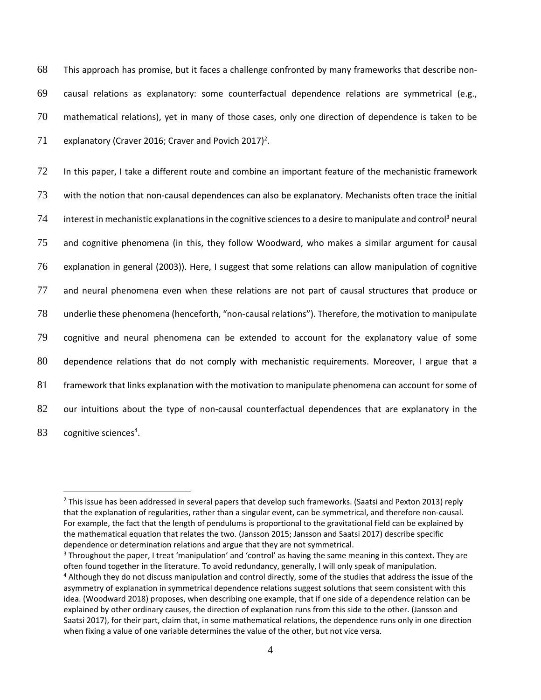This approach has promise, but it faces a challenge confronted by many frameworks that describe non- causal relations as explanatory: some counterfactual dependence relations are symmetrical (e.g., mathematical relations), yet in many of those cases, only one direction of dependence is taken to be 71 explanatory (Craver 2016; Craver and Povich 2017)<sup>2</sup>.

 In this paper, I take a different route and combine an important feature of the mechanistic framework with the notion that non-causal dependences can also be explanatory. Mechanists often trace the initial interest in mechanistic explanations in the cognitive sciences to a desire to manipulate and control<sup>3</sup> neural and cognitive phenomena (in this, they follow Woodward, who makes a similar argument for causal explanation in general (2003)). Here, I suggest that some relations can allow manipulation of cognitive and neural phenomena even when these relations are not part of causal structures that produce or underlie these phenomena (henceforth, "non-causal relations"). Therefore, the motivation to manipulate cognitive and neural phenomena can be extended to account for the explanatory value of some dependence relations that do not comply with mechanistic requirements. Moreover, I argue that a framework that links explanation with the motivation to manipulate phenomena can account for some of our intuitions about the type of non-causal counterfactual dependences that are explanatory in the 83 cognitive sciences<sup>4</sup>.

<sup>&</sup>lt;sup>2</sup> This issue has been addressed in several papers that develop such frameworks. (Saatsi and Pexton 2013) reply that the explanation of regularities, rather than a singular event, can be symmetrical, and therefore non-causal. For example, the fact that the length of pendulums is proportional to the gravitational field can be explained by the mathematical equation that relates the two. (Jansson 2015; Jansson and Saatsi 2017) describe specific dependence or determination relations and argue that they are not symmetrical.

<sup>&</sup>lt;sup>3</sup> Throughout the paper, I treat 'manipulation' and 'control' as having the same meaning in this context. They are often found together in the literature. To avoid redundancy, generally, I will only speak of manipulation.

<sup>4</sup> Although they do not discuss manipulation and control directly, some of the studies that address the issue of the asymmetry of explanation in symmetrical dependence relations suggest solutions that seem consistent with this idea. (Woodward 2018) proposes, when describing one example, that if one side of a dependence relation can be explained by other ordinary causes, the direction of explanation runs from this side to the other. (Jansson and Saatsi 2017), for their part, claim that, in some mathematical relations, the dependence runs only in one direction when fixing a value of one variable determines the value of the other, but not vice versa.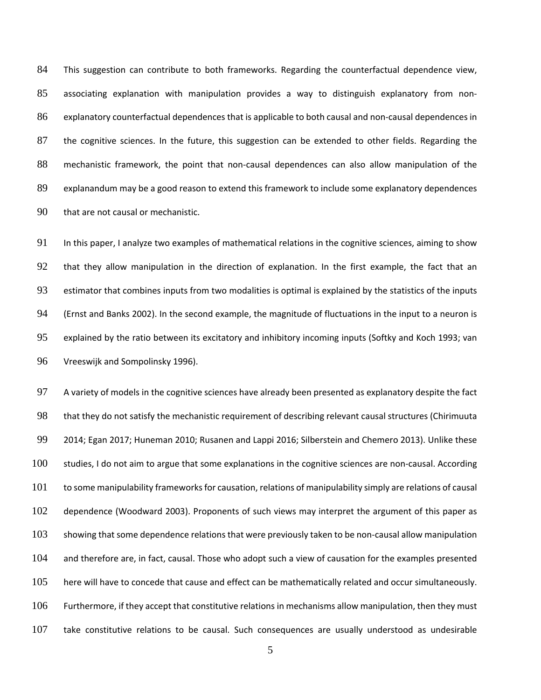This suggestion can contribute to both frameworks. Regarding the counterfactual dependence view, associating explanation with manipulation provides a way to distinguish explanatory from non- explanatory counterfactual dependences that is applicable to both causal and non-causal dependences in the cognitive sciences. In the future, this suggestion can be extended to other fields. Regarding the mechanistic framework, the point that non-causal dependences can also allow manipulation of the explanandum may be a good reason to extend this framework to include some explanatory dependences that are not causal or mechanistic.

91 In this paper, I analyze two examples of mathematical relations in the cognitive sciences, aiming to show that they allow manipulation in the direction of explanation. In the first example, the fact that an estimator that combines inputs from two modalities is optimal is explained by the statistics of the inputs (Ernst and Banks 2002). In the second example, the magnitude of fluctuations in the input to a neuron is explained by the ratio between its excitatory and inhibitory incoming inputs (Softky and Koch 1993; van Vreeswijk and Sompolinsky 1996).

 A variety of models in the cognitive sciences have already been presented as explanatory despite the fact that they do not satisfy the mechanistic requirement of describing relevant causal structures (Chirimuuta 2014; Egan 2017; Huneman 2010; Rusanen and Lappi 2016; Silberstein and Chemero 2013). Unlike these 100 studies, I do not aim to argue that some explanations in the cognitive sciences are non-causal. According 101 to some manipulability frameworks for causation, relations of manipulability simply are relations of causal dependence (Woodward 2003). Proponents of such views may interpret the argument of this paper as 103 showing that some dependence relations that were previously taken to be non-causal allow manipulation and therefore are, in fact, causal. Those who adopt such a view of causation for the examples presented here will have to concede that cause and effect can be mathematically related and occur simultaneously. Furthermore, if they accept that constitutive relations in mechanisms allow manipulation, then they must take constitutive relations to be causal. Such consequences are usually understood as undesirable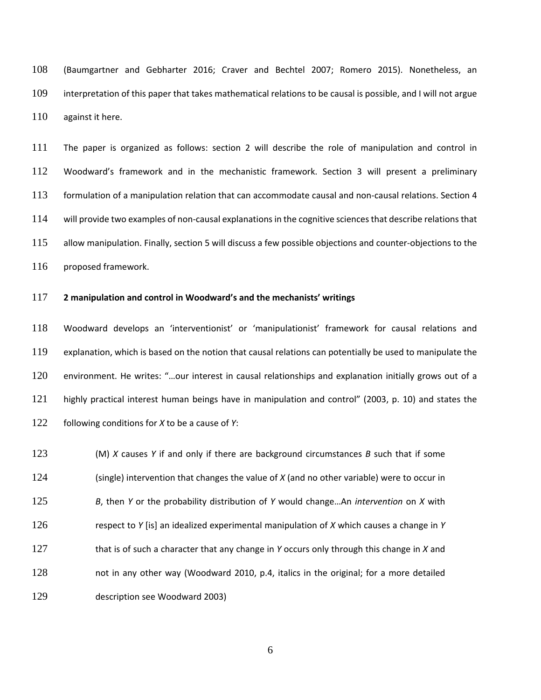(Baumgartner and Gebharter 2016; Craver and Bechtel 2007; Romero 2015). Nonetheless, an interpretation of this paper that takes mathematical relations to be causal is possible, and I will not argue 110 against it here.

 The paper is organized as follows: section 2 will describe the role of manipulation and control in Woodward's framework and in the mechanistic framework. Section 3 will present a preliminary formulation of a manipulation relation that can accommodate causal and non-causal relations. Section 4 114 will provide two examples of non-causal explanations in the cognitive sciences that describe relations that 115 allow manipulation. Finally, section 5 will discuss a few possible objections and counter-objections to the 116 proposed framework.

### **2 manipulation and control in Woodward's and the mechanists' writings**

 Woodward develops an 'interventionist' or 'manipulationist' framework for causal relations and explanation, which is based on the notion that causal relations can potentially be used to manipulate the environment. He writes: "…our interest in causal relationships and explanation initially grows out of a highly practical interest human beings have in manipulation and control" (2003, p. 10) and states the following conditions for *X* to be a cause of *Y*:

 (M) *X* causes *Y* if and only if there are background circumstances *B* such that if some (single) intervention that changes the value of *X* (and no other variable) were to occur in *B*, then *Y* or the probability distribution of *Y* would change…An *intervention* on *X* with respect to *Y* [is] an idealized experimental manipulation of *X* which causes a change in *Y* that is of such a character that any change in *Y* occurs only through this change in *X* and 128 not in any other way (Woodward 2010, p.4, italics in the original; for a more detailed description see Woodward 2003)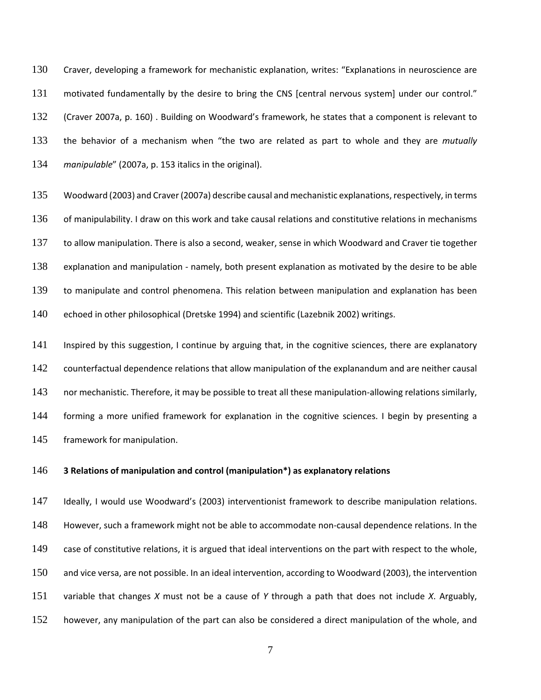Craver, developing a framework for mechanistic explanation, writes: "Explanations in neuroscience are motivated fundamentally by the desire to bring the CNS [central nervous system] under our control." (Craver 2007a, p. 160) . Building on Woodward's framework, he states that a component is relevant to the behavior of a mechanism when "the two are related as part to whole and they are *mutually manipulable*" (2007a, p. 153 italics in the original).

135 Woodward (2003) and Craver (2007a) describe causal and mechanistic explanations, respectively, in terms 136 of manipulability. I draw on this work and take causal relations and constitutive relations in mechanisms 137 to allow manipulation. There is also a second, weaker, sense in which Woodward and Craver tie together explanation and manipulation - namely, both present explanation as motivated by the desire to be able to manipulate and control phenomena. This relation between manipulation and explanation has been 140 echoed in other philosophical (Dretske 1994) and scientific (Lazebnik 2002) writings.

141 Inspired by this suggestion, I continue by arguing that, in the cognitive sciences, there are explanatory counterfactual dependence relations that allow manipulation of the explanandum and are neither causal 143 nor mechanistic. Therefore, it may be possible to treat all these manipulation-allowing relations similarly, 144 forming a more unified framework for explanation in the cognitive sciences. I begin by presenting a framework for manipulation.

### **3 Relations of manipulation and control (manipulation\*) as explanatory relations**

 Ideally, I would use Woodward's (2003) interventionist framework to describe manipulation relations. However, such a framework might not be able to accommodate non-causal dependence relations. In the 149 case of constitutive relations, it is argued that ideal interventions on the part with respect to the whole, and vice versa, are not possible. In an ideal intervention, according to Woodward (2003), the intervention variable that changes *X* must not be a cause of *Y* through a path that does not include *X*. Arguably, however, any manipulation of the part can also be considered a direct manipulation of the whole, and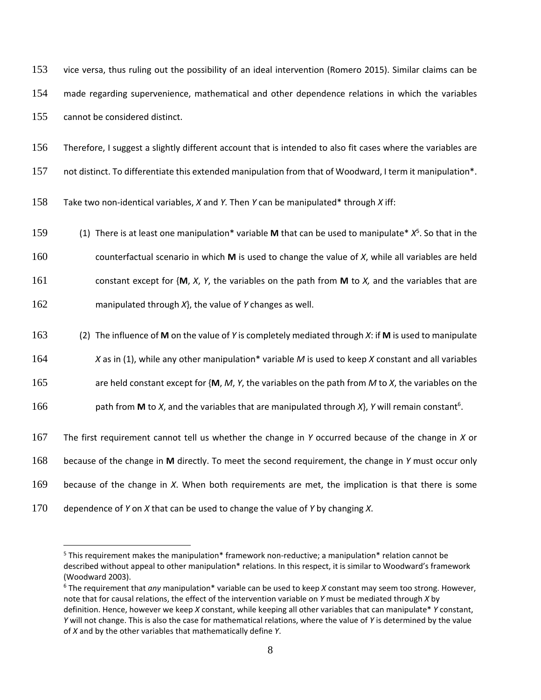vice versa, thus ruling out the possibility of an ideal intervention (Romero 2015). Similar claims can be made regarding supervenience, mathematical and other dependence relations in which the variables cannot be considered distinct.

Therefore, I suggest a slightly different account that is intended to also fit cases where the variables are

not distinct. To differentiate this extended manipulation from that of Woodward, I term it manipulation\*.

Take two non-identical variables, *X* and *Y.* Then *Y* can be manipulated\* through *X* iff:

(1) There is at least one manipulation\* variable **M** that can be used to manipulate\* *X* <sup>5</sup> . So that in the

 counterfactual scenario in which **M** is used to change the value of *X*, while all variables are held constant except for {**M**, *X*, *Y*, the variables on the path from **M** to *X,* and the variables that are

manipulated through *X*}, the value of *Y* changes as well.

(2) The influence of **M** on the value of *Y* is completely mediated through *X*: if **M** is used to manipulate

*X* as in (1), while any other manipulation\* variable *M* is used to keep *X* constant and all variables

are held constant except for {**M**, *M*, *Y*, the variables on the path from *M* to *X*, the variables on the

166 **path from <b>M** to *X*, and the variables that are manipulated through *X*}, *Y* will remain constant<sup>6</sup>.

The first requirement cannot tell us whether the change in *Y* occurred because of the change in *X* or

because of the change in **M** directly. To meet the second requirement, the change in *Y* must occur only

because of the change in *X*. When both requirements are met, the implication is that there is some

dependence of *Y* on *X* that can be used to change the value of *Y* by changing *X*.

<sup>&</sup>lt;sup>5</sup> This requirement makes the manipulation\* framework non-reductive; a manipulation\* relation cannot be described without appeal to other manipulation\* relations. In this respect, it is similar to Woodward's framework (Woodward 2003).

 The requirement that *any* manipulation\* variable can be used to keep *X* constant may seem too strong. However, note that for causal relations, the effect of the intervention variable on *Y* must be mediated through *X* by definition. Hence, however we keep *X* constant, while keeping all other variables that can manipulate\* *Y* constant, *Y* will not change. This is also the case for mathematical relations, where the value of *Y* is determined by the value of *X* and by the other variables that mathematically define *Y*.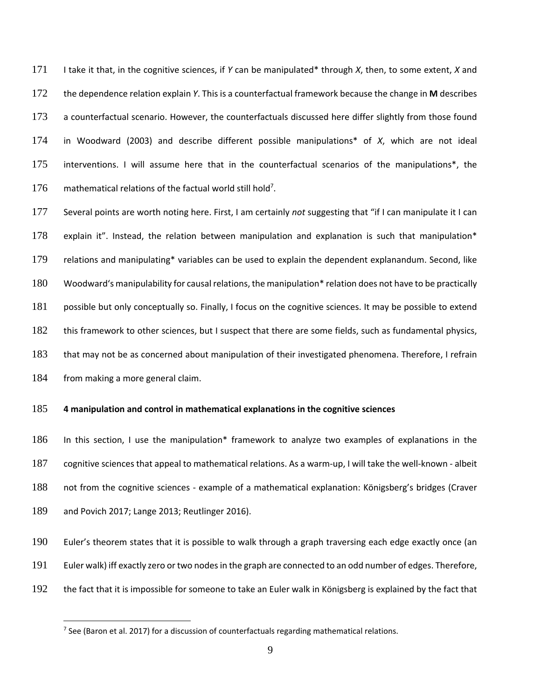I take it that, in the cognitive sciences, if *Y* can be manipulated\* through *X*, then, to some extent, *X* and the dependence relation explain *Y*. This is a counterfactual framework because the change in **M** describes a counterfactual scenario. However, the counterfactuals discussed here differ slightly from those found in Woodward (2003) and describe different possible manipulations\* of *X*, which are not ideal interventions. I will assume here that in the counterfactual scenarios of the manipulations\*, the 176 mathematical relations of the factual world still hold<sup>7</sup>.

 Several points are worth noting here. First, I am certainly *not* suggesting that "if I can manipulate it I can explain it". Instead, the relation between manipulation and explanation is such that manipulation\* 179 relations and manipulating\* variables can be used to explain the dependent explanandum. Second, like Woodward's manipulability for causal relations, the manipulation\* relation does not have to be practically 181 possible but only conceptually so. Finally, I focus on the cognitive sciences. It may be possible to extend 182 this framework to other sciences, but I suspect that there are some fields, such as fundamental physics, 183 that may not be as concerned about manipulation of their investigated phenomena. Therefore, I refrain 184 from making a more general claim.

### **4 manipulation and control in mathematical explanations in the cognitive sciences**

 In this section, I use the manipulation\* framework to analyze two examples of explanations in the cognitive sciences that appeal to mathematical relations. As a warm-up, I will take the well-known - albeit not from the cognitive sciences - example of a mathematical explanation: Königsberg's bridges (Craver and Povich 2017; Lange 2013; Reutlinger 2016).

 Euler's theorem states that it is possible to walk through a graph traversing each edge exactly once (an Euler walk) iff exactly zero or two nodesin the graph are connected to an odd number of edges. Therefore, the fact that it is impossible for someone to take an Euler walk in Königsberg is explained by the fact that

 $<sup>7</sup>$  See (Baron et al. 2017) for a discussion of counterfactuals regarding mathematical relations.</sup>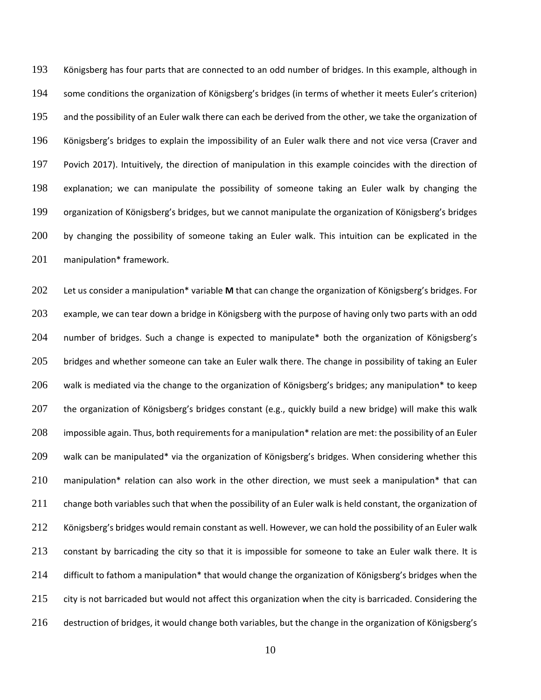Königsberg has four parts that are connected to an odd number of bridges. In this example, although in some conditions the organization of Königsberg's bridges (in terms of whether it meets Euler's criterion) and the possibility of an Euler walk there can each be derived from the other, we take the organization of Königsberg's bridges to explain the impossibility of an Euler walk there and not vice versa (Craver and Povich 2017). Intuitively, the direction of manipulation in this example coincides with the direction of explanation; we can manipulate the possibility of someone taking an Euler walk by changing the organization of Königsberg's bridges, but we cannot manipulate the organization of Königsberg's bridges 200 by changing the possibility of someone taking an Euler walk. This intuition can be explicated in the manipulation\* framework.

 Let us consider a manipulation\* variable **M** that can change the organization of Königsberg's bridges. For example, we can tear down a bridge in Königsberg with the purpose of having only two parts with an odd number of bridges. Such a change is expected to manipulate\* both the organization of Königsberg's 205 bridges and whether someone can take an Euler walk there. The change in possibility of taking an Euler 206 walk is mediated via the change to the organization of Königsberg's bridges; any manipulation\* to keep the organization of Königsberg's bridges constant (e.g., quickly build a new bridge) will make this walk 208 impossible again. Thus, both requirements for a manipulation\* relation are met: the possibility of an Euler walk can be manipulated\* via the organization of Königsberg's bridges. When considering whether this manipulation\* relation can also work in the other direction, we must seek a manipulation\* that can 211 change both variables such that when the possibility of an Euler walk is held constant, the organization of Königsberg's bridges would remain constant as well. However, we can hold the possibility of an Euler walk constant by barricading the city so that it is impossible for someone to take an Euler walk there. It is difficult to fathom a manipulation\* that would change the organization of Königsberg's bridges when the 215 city is not barricaded but would not affect this organization when the city is barricaded. Considering the destruction of bridges, it would change both variables, but the change in the organization of Königsberg's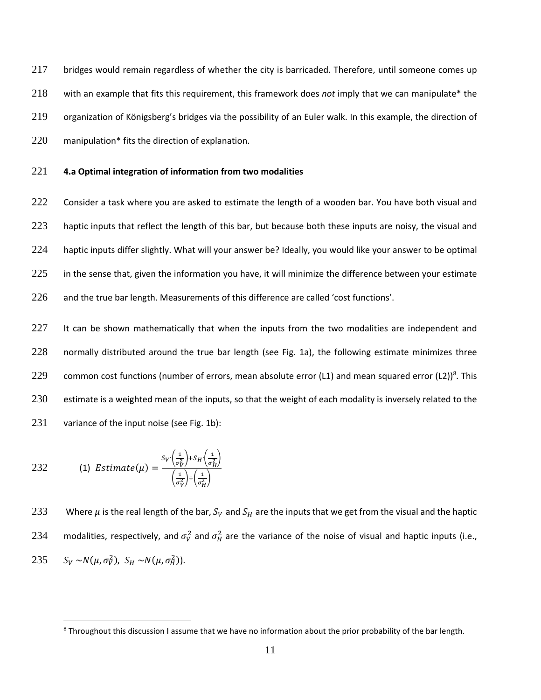bridges would remain regardless of whether the city is barricaded. Therefore, until someone comes up with an example that fits this requirement, this framework does *not* imply that we can manipulate\* the organization of Königsberg's bridges via the possibility of an Euler walk. In this example, the direction of manipulation\* fits the direction of explanation.

### 221 **4.a Optimal integration of information from two modalities**

222 Consider a task where you are asked to estimate the length of a wooden bar. You have both visual and 223 haptic inputs that reflect the length of this bar, but because both these inputs are noisy, the visual and 224 haptic inputs differ slightly. What will your answer be? Ideally, you would like your answer to be optimal 225 in the sense that, given the information you have, it will minimize the difference between your estimate 226 and the true bar length. Measurements of this difference are called 'cost functions'.

227 It can be shown mathematically that when the inputs from the two modalities are independent and 228 normally distributed around the true bar length (see Fig. 1a), the following estimate minimizes three 229 common cost functions (number of errors, mean absolute error  $(L1)$  and mean squared error  $(L2))^8$ . This 230 estimate is a weighted mean of the inputs, so that the weight of each modality is inversely related to the 231 variance of the input noise (see Fig. 1b):

232 (1) Estimate(\mu) = 
$$
\frac{S_V(\frac{1}{\sigma_V^2}) + S_H(\frac{1}{\sigma_H^2})}{(\frac{1}{\sigma_V^2}) + (\frac{1}{\sigma_H^2})}
$$

 $\overline{a}$ 

233 Where  $\mu$  is the real length of the bar,  $S_V$  and  $S_H$  are the inputs that we get from the visual and the haptic 234 are modalities, respectively, and  $\sigma_V^2$  and  $\sigma_H^2$  are the variance of the noise of visual and haptic inputs (i.e., 235  $S_V \sim N(\mu, \sigma_V^2)$ ,  $S_H \sim N(\mu, \sigma_H^2)$ .

<sup>&</sup>lt;sup>8</sup> Throughout this discussion I assume that we have no information about the prior probability of the bar length.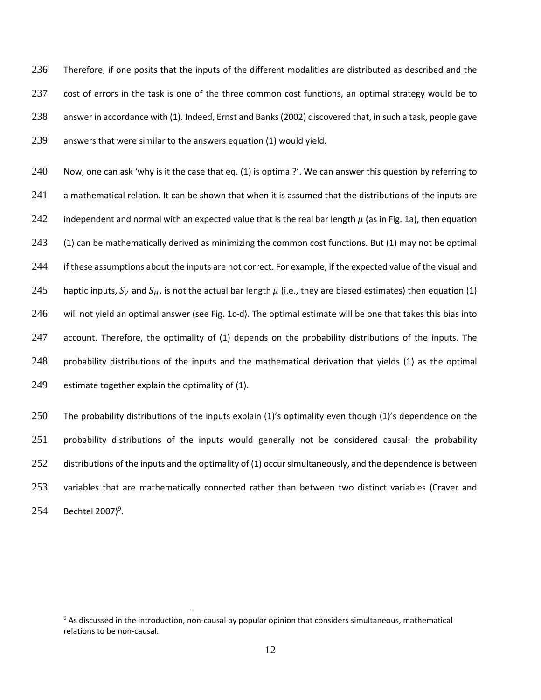Therefore, if one posits that the inputs of the different modalities are distributed as described and the cost of errors in the task is one of the three common cost functions, an optimal strategy would be to answer in accordance with (1). Indeed, Ernst and Banks(2002) discovered that, in such a task, people gave answers that were similar to the answers equation (1) would yield.

240 Now, one can ask 'why is it the case that eq. (1) is optimal?'. We can answer this question by referring to 241 a mathematical relation. It can be shown that when it is assumed that the distributions of the inputs are 242 independent and normal with an expected value that is the real bar length  $\mu$  (as in Fig. 1a), then equation 243 (1) can be mathematically derived as minimizing the common cost functions. But (1) may not be optimal 244 if these assumptions about the inputs are not correct. For example, if the expected value of the visual and 245 haptic inputs,  $S_V$  and  $S_H$ , is not the actual bar length  $\mu$  (i.e., they are biased estimates) then equation (1) 246 will not yield an optimal answer (see Fig. 1c-d). The optimal estimate will be one that takes this bias into 247 account. Therefore, the optimality of (1) depends on the probability distributions of the inputs. The 248 probability distributions of the inputs and the mathematical derivation that yields (1) as the optimal 249 estimate together explain the optimality of (1).

250 The probability distributions of the inputs explain (1)'s optimality even though (1)'s dependence on the 251 probability distributions of the inputs would generally not be considered causal: the probability 252 distributions of the inputs and the optimality of (1) occur simultaneously, and the dependence is between 253 variables that are mathematically connected rather than between two distinct variables (Craver and 254 Bechtel 2007)<sup>9</sup>.

<sup>&</sup>lt;sup>9</sup> As discussed in the introduction, non-causal by popular opinion that considers simultaneous, mathematical relations to be non-causal.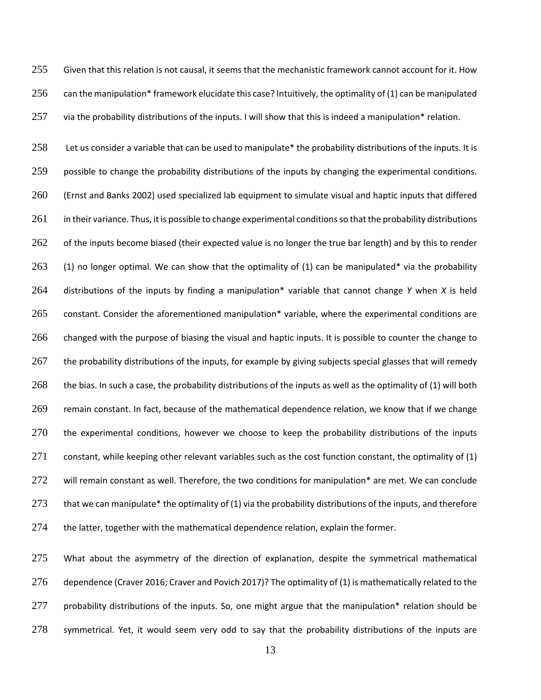255 Given that this relation is not causal, it seems that the mechanistic framework cannot account for it. How 256 can the manipulation\* framework elucidate this case? Intuitively, the optimality of (1) can be manipulated 257 via the probability distributions of the inputs. I will show that this is indeed a manipulation\* relation.

258 Let us consider a variable that can be used to manipulate\* the probability distributions of the inputs. It is possible to change the probability distributions of the inputs by changing the experimental conditions. (Ernst and Banks 2002) used specialized lab equipment to simulate visual and haptic inputs that differed in their variance. Thus, it is possible to change experimental conditions so that the probability distributions 262 of the inputs become biased (their expected value is no longer the true bar length) and by this to render 263 (1) no longer optimal. We can show that the optimality of (1) can be manipulated\* via the probability distributions of the inputs by finding a manipulation\* variable that cannot change *Y* when *X* is held constant. Consider the aforementioned manipulation\* variable, where the experimental conditions are changed with the purpose of biasing the visual and haptic inputs. It is possible to counter the change to 267 the probability distributions of the inputs, for example by giving subjects special glasses that will remedy the bias. In such a case, the probability distributions of the inputs as well as the optimality of (1) will both remain constant. In fact, because of the mathematical dependence relation, we know that if we change the experimental conditions, however we choose to keep the probability distributions of the inputs constant, while keeping other relevant variables such as the cost function constant, the optimality of (1) 272 will remain constant as well. Therefore, the two conditions for manipulation\* are met. We can conclude 273 that we can manipulate\* the optimality of (1) via the probability distributions of the inputs, and therefore the latter, together with the mathematical dependence relation, explain the former.

275 What about the asymmetry of the direction of explanation, despite the symmetrical mathematical 276 dependence (Craver 2016; Craver and Povich 2017)? The optimality of (1) is mathematically related to the 277 probability distributions of the inputs. So, one might argue that the manipulation\* relation should be 278 symmetrical. Yet, it would seem very odd to say that the probability distributions of the inputs are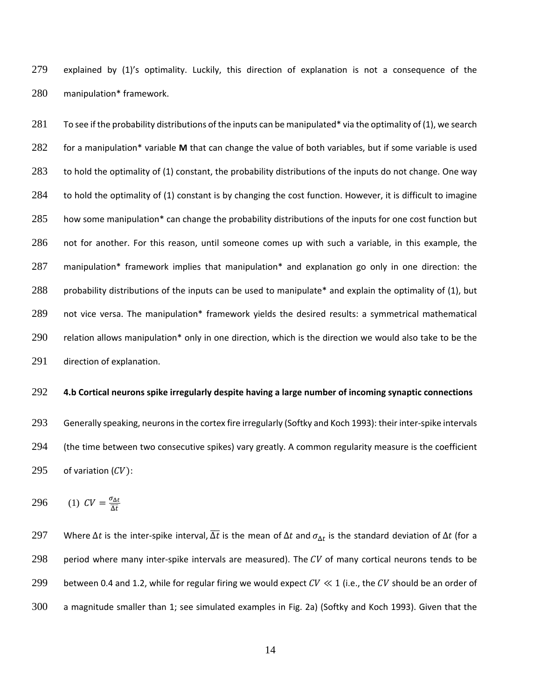279 explained by (1)'s optimality. Luckily, this direction of explanation is not a consequence of the 280 manipulation\* framework.

281 To see if the probability distributions of the inputs can be manipulated\* via the optimality of (1), we search for a manipulation\* variable **M** that can change the value of both variables, but if some variable is used to hold the optimality of (1) constant, the probability distributions of the inputs do not change. One way 284 to hold the optimality of (1) constant is by changing the cost function. However, it is difficult to imagine 285 how some manipulation\* can change the probability distributions of the inputs for one cost function but not for another. For this reason, until someone comes up with such a variable, in this example, the manipulation\* framework implies that manipulation\* and explanation go only in one direction: the probability distributions of the inputs can be used to manipulate\* and explain the optimality of (1), but not vice versa. The manipulation\* framework yields the desired results: a symmetrical mathematical relation allows manipulation\* only in one direction, which is the direction we would also take to be the direction of explanation.

#### 292 **4.b Cortical neurons spike irregularly despite having a large number of incoming synaptic connections**

293 Generally speaking, neurons in the cortex fire irregularly (Softky and Koch 1993): their inter-spike intervals 294 (the time between two consecutive spikes) vary greatly. A common regularity measure is the coefficient 295 of variation  $(CV)$ :

$$
296 \qquad (1) \ \text{CV} = \frac{\sigma_{\Delta t}}{\overline{\Delta t}}
$$

297 Where  $\Delta t$  is the inter-spike interval,  $\overline{\Delta t}$  is the mean of  $\Delta t$  and  $\sigma_{\Delta t}$  is the standard deviation of  $\Delta t$  (for a 298 period where many inter-spike intervals are measured). The  $CV$  of many cortical neurons tends to be 299 between 0.4 and 1.2, while for regular firing we would expect  $CV \ll 1$  (i.e., the CV should be an order of 300 a magnitude smaller than 1; see simulated examples in Fig. 2a) (Softky and Koch 1993). Given that the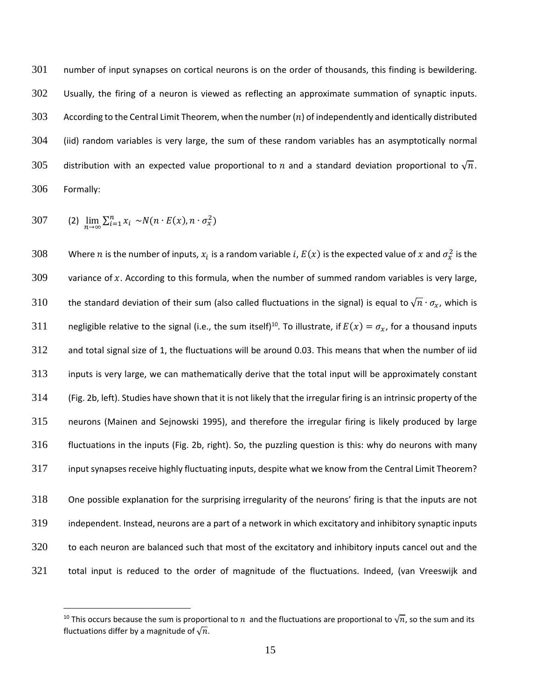number of input synapses on cortical neurons is on the order of thousands, this finding is bewildering. Usually, the firing of a neuron is viewed as reflecting an approximate summation of synaptic inputs. 303 According to the Central Limit Theorem, when the number  $(n)$  of independently and identically distributed (iid) random variables is very large, the sum of these random variables has an asymptotically normal 305 distribution with an expected value proportional to n and a standard deviation proportional to  $\sqrt{n}$ . Formally:

307 (2) 
$$
\lim_{n\to\infty}\sum_{i=1}^n x_i \sim N(n\cdot E(x), n\cdot \sigma_x^2)
$$

 $\overline{a}$ 

308 Mhere  $n$  is the number of inputs,  $x_i$  is a random variable  $i$ ,  $E(x)$  is the expected value of  $x$  and  $\sigma_x^2$  is the 309 variance of x. According to this formula, when the number of summed random variables is very large, 310 the standard deviation of their sum (also called fluctuations in the signal) is equal to  $\sqrt{n} \cdot \sigma_x$ , which is 311 negligible relative to the signal (i.e., the sum itself)<sup>10</sup>. To illustrate, if  $E(x) = \sigma_x$ , for a thousand inputs and total signal size of 1, the fluctuations will be around 0.03. This means that when the number of iid inputs is very large, we can mathematically derive that the total input will be approximately constant (Fig. 2b, left). Studies have shown that it is not likely that the irregular firing is an intrinsic property of the neurons (Mainen and Sejnowski 1995), and therefore the irregular firing is likely produced by large fluctuations in the inputs (Fig. 2b, right). So, the puzzling question is this: why do neurons with many input synapses receive highly fluctuating inputs, despite what we know from the Central Limit Theorem? One possible explanation for the surprising irregularity of the neurons' firing is that the inputs are not independent. Instead, neurons are a part of a network in which excitatory and inhibitory synaptic inputs

321 total input is reduced to the order of magnitude of the fluctuations. Indeed, (van Vreeswijk and

320 to each neuron are balanced such that most of the excitatory and inhibitory inputs cancel out and the

<sup>&</sup>lt;sup>10</sup> This occurs because the sum is proportional to  $n$  and the fluctuations are proportional to  $\sqrt{n}$ , so the sum and its fluctuations differ by a magnitude of  $\sqrt{n}$ .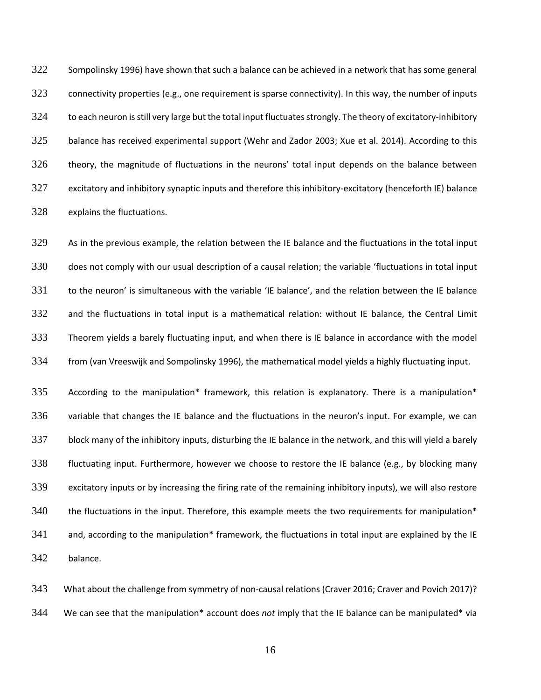Sompolinsky 1996) have shown that such a balance can be achieved in a network that has some general connectivity properties (e.g., one requirement is sparse connectivity). In this way, the number of inputs to each neuron isstill very large but the total input fluctuatesstrongly. The theory of excitatory-inhibitory balance has received experimental support (Wehr and Zador 2003; Xue et al. 2014). According to this theory, the magnitude of fluctuations in the neurons' total input depends on the balance between excitatory and inhibitory synaptic inputs and therefore this inhibitory-excitatory (henceforth IE) balance explains the fluctuations.

 As in the previous example, the relation between the IE balance and the fluctuations in the total input does not comply with our usual description of a causal relation; the variable 'fluctuations in total input to the neuron' is simultaneous with the variable 'IE balance', and the relation between the IE balance and the fluctuations in total input is a mathematical relation: without IE balance, the Central Limit Theorem yields a barely fluctuating input, and when there is IE balance in accordance with the model from (van Vreeswijk and Sompolinsky 1996), the mathematical model yields a highly fluctuating input.

335 According to the manipulation\* framework, this relation is explanatory. There is a manipulation\* variable that changes the IE balance and the fluctuations in the neuron's input. For example, we can block many of the inhibitory inputs, disturbing the IE balance in the network, and this will yield a barely fluctuating input. Furthermore, however we choose to restore the IE balance (e.g., by blocking many excitatory inputs or by increasing the firing rate of the remaining inhibitory inputs), we will also restore the fluctuations in the input. Therefore, this example meets the two requirements for manipulation\* 341 and, according to the manipulation\* framework, the fluctuations in total input are explained by the IE balance.

 What about the challenge from symmetry of non-causal relations (Craver 2016; Craver and Povich 2017)? We can see that the manipulation\* account does *not* imply that the IE balance can be manipulated\* via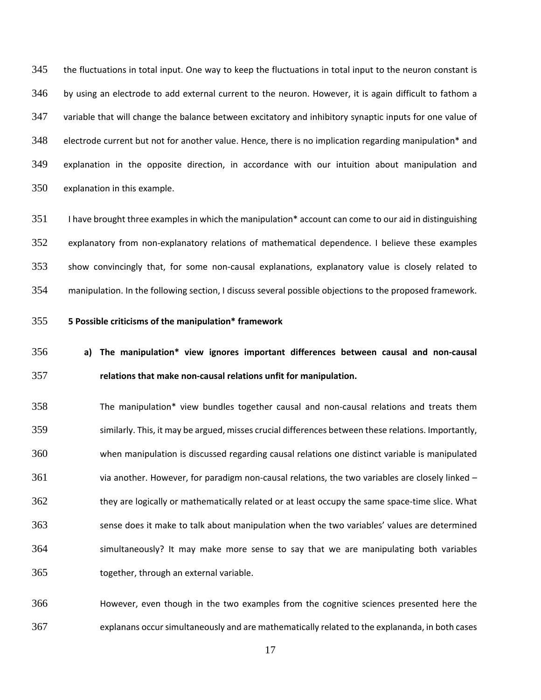the fluctuations in total input. One way to keep the fluctuations in total input to the neuron constant is by using an electrode to add external current to the neuron. However, it is again difficult to fathom a variable that will change the balance between excitatory and inhibitory synaptic inputs for one value of 348 electrode current but not for another value. Hence, there is no implication regarding manipulation\* and explanation in the opposite direction, in accordance with our intuition about manipulation and explanation in this example.

 I have brought three examples in which the manipulation\* account can come to our aid in distinguishing explanatory from non-explanatory relations of mathematical dependence. I believe these examples show convincingly that, for some non-causal explanations, explanatory value is closely related to manipulation. In the following section, I discuss several possible objections to the proposed framework.

**5 Possible criticisms of the manipulation\* framework**

# **a) The manipulation\* view ignores important differences between causal and non-causal relations that make non-causal relations unfit for manipulation.**

 The manipulation\* view bundles together causal and non-causal relations and treats them similarly. This, it may be argued, misses crucial differences between these relations. Importantly, when manipulation is discussed regarding causal relations one distinct variable is manipulated via another. However, for paradigm non-causal relations, the two variables are closely linked – they are logically or mathematically related or at least occupy the same space-time slice. What sense does it make to talk about manipulation when the two variables' values are determined simultaneously? It may make more sense to say that we are manipulating both variables together, through an external variable.

 However, even though in the two examples from the cognitive sciences presented here the explanans occursimultaneously and are mathematically related to the explananda, in both cases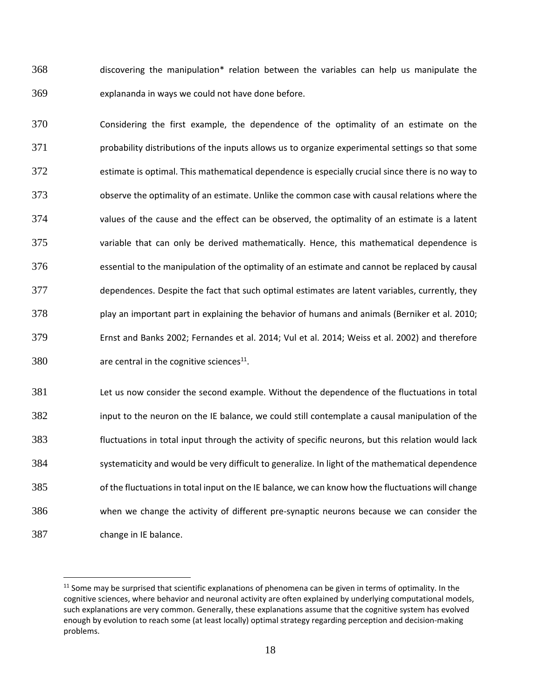discovering the manipulation\* relation between the variables can help us manipulate the explananda in ways we could not have done before.

 Considering the first example, the dependence of the optimality of an estimate on the probability distributions of the inputs allows us to organize experimental settings so that some estimate is optimal. This mathematical dependence is especially crucial since there is no way to observe the optimality of an estimate. Unlike the common case with causal relations where the values of the cause and the effect can be observed, the optimality of an estimate is a latent variable that can only be derived mathematically. Hence, this mathematical dependence is essential to the manipulation of the optimality of an estimate and cannot be replaced by causal dependences. Despite the fact that such optimal estimates are latent variables, currently, they play an important part in explaining the behavior of humans and animals (Berniker et al. 2010; Ernst and Banks 2002; Fernandes et al. 2014; Vul et al. 2014; Weiss et al. 2002) and therefore are central in the cognitive sciences<sup>11</sup>.

 Let us now consider the second example. Without the dependence of the fluctuations in total input to the neuron on the IE balance, we could still contemplate a causal manipulation of the fluctuations in total input through the activity of specific neurons, but this relation would lack systematicity and would be very difficult to generalize. In light of the mathematical dependence of the fluctuationsin total input on the IE balance, we can know how the fluctuations will change when we change the activity of different pre-synaptic neurons because we can consider the change in IE balance.

<sup>&</sup>lt;sup>11</sup> Some may be surprised that scientific explanations of phenomena can be given in terms of optimality. In the cognitive sciences, where behavior and neuronal activity are often explained by underlying computational models, such explanations are very common. Generally, these explanations assume that the cognitive system has evolved enough by evolution to reach some (at least locally) optimal strategy regarding perception and decision-making problems.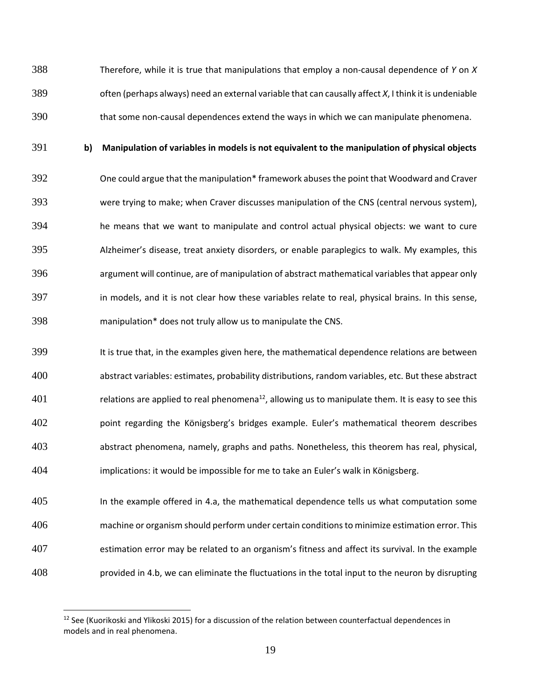Therefore, while it is true that manipulations that employ a non-causal dependence of *Y* on *X* often (perhaps always) need an external variable that can causally affect *X*, I think it is undeniable that some non-causal dependences extend the ways in which we can manipulate phenomena.

 $\overline{a}$ 

### **b) Manipulation of variables in models is not equivalent to the manipulation of physical objects**

 One could argue that the manipulation\* framework abusesthe point that Woodward and Craver were trying to make; when Craver discusses manipulation of the CNS (central nervous system), he means that we want to manipulate and control actual physical objects: we want to cure Alzheimer's disease, treat anxiety disorders, or enable paraplegics to walk. My examples, this argument will continue, are of manipulation of abstract mathematical variablesthat appear only in models, and it is not clear how these variables relate to real, physical brains. In this sense, manipulation\* does not truly allow us to manipulate the CNS.

 It is true that, in the examples given here, the mathematical dependence relations are between abstract variables: estimates, probability distributions, random variables, etc. But these abstract relations are applied to real phenomena<sup>12</sup>, allowing us to manipulate them. It is easy to see this point regarding the Königsberg's bridges example. Euler's mathematical theorem describes abstract phenomena, namely, graphs and paths. Nonetheless, this theorem has real, physical, implications: it would be impossible for me to take an Euler's walk in Königsberg.

 In the example offered in 4.a, the mathematical dependence tells us what computation some machine or organism should perform under certain conditionsto minimize estimation error. This estimation error may be related to an organism's fitness and affect its survival. In the example provided in 4.b, we can eliminate the fluctuations in the total input to the neuron by disrupting

<sup>&</sup>lt;sup>12</sup> See (Kuorikoski and Ylikoski 2015) for a discussion of the relation between counterfactual dependences in models and in real phenomena.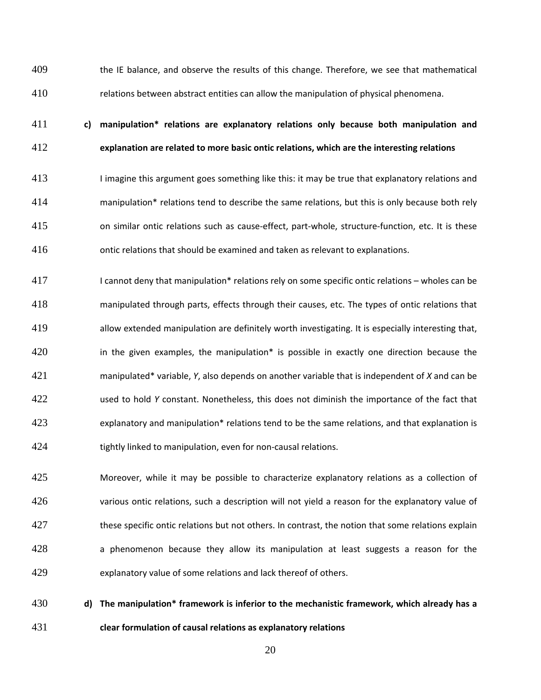the IE balance, and observe the results of this change. Therefore, we see that mathematical relations between abstract entities can allow the manipulation of physical phenomena.

## **c) manipulation\* relations are explanatory relations only because both manipulation and explanation are related to more basic ontic relations, which are the interesting relations**

 I imagine this argument goes something like this: it may be true that explanatory relations and manipulation\* relations tend to describe the same relations, but this is only because both rely on similar ontic relations such as cause-effect, part-whole, structure-function, etc. It is these ontic relations that should be examined and taken as relevant to explanations.

 I cannot deny that manipulation\* relations rely on some specific ontic relations – wholes can be manipulated through parts, effects through their causes, etc. The types of ontic relations that allow extended manipulation are definitely worth investigating. It is especially interesting that, **in the given examples, the manipulation**\* is possible in exactly one direction because the manipulated\* variable, *Y*, also depends on another variable that is independent of *X* and can be used to hold *Y* constant. Nonetheless, this does not diminish the importance of the fact that 423 explanatory and manipulation\* relations tend to be the same relations, and that explanation is tightly linked to manipulation, even for non-causal relations.

 Moreover, while it may be possible to characterize explanatory relations as a collection of various ontic relations, such a description will not yield a reason for the explanatory value of 427 these specific ontic relations but not others. In contrast, the notion that some relations explain 428 a phenomenon because they allow its manipulation at least suggests a reason for the explanatory value of some relations and lack thereof of others.

 **d) The manipulation\* framework is inferior to the mechanistic framework, which already has a clear formulation of causal relations as explanatory relations**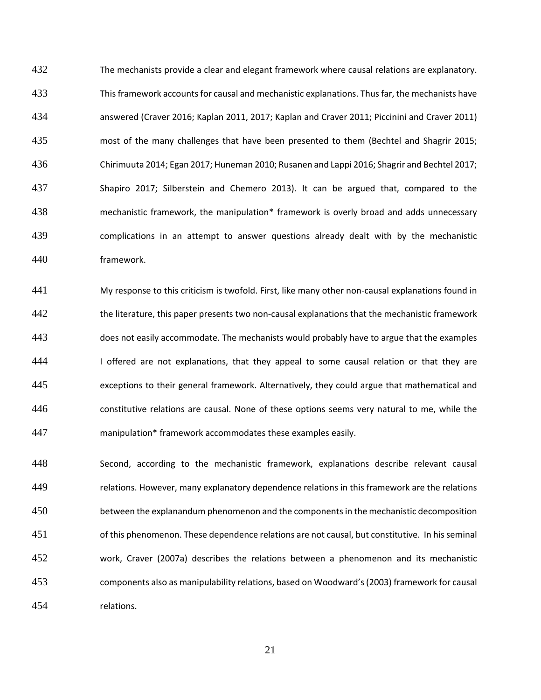The mechanists provide a clear and elegant framework where causal relations are explanatory. Thisframework accountsfor causal and mechanistic explanations. Thusfar, the mechanists have answered (Craver 2016; Kaplan 2011, 2017; Kaplan and Craver 2011; Piccinini and Craver 2011) most of the many challenges that have been presented to them (Bechtel and Shagrir 2015; Chirimuuta 2014; Egan 2017; Huneman 2010; Rusanen and Lappi 2016; Shagrir and Bechtel 2017; Shapiro 2017; Silberstein and Chemero 2013). It can be argued that, compared to the mechanistic framework, the manipulation\* framework is overly broad and adds unnecessary complications in an attempt to answer questions already dealt with by the mechanistic framework.

 My response to this criticism is twofold. First, like many other non-causal explanations found in the literature, this paper presents two non-causal explanations that the mechanistic framework does not easily accommodate. The mechanists would probably have to argue that the examples 444 I offered are not explanations, that they appeal to some causal relation or that they are exceptions to their general framework. Alternatively, they could argue that mathematical and constitutive relations are causal. None of these options seems very natural to me, while the manipulation\* framework accommodates these examples easily.

 Second, according to the mechanistic framework, explanations describe relevant causal relations. However, many explanatory dependence relations in this framework are the relations between the explanandum phenomenon and the componentsin the mechanistic decomposition of this phenomenon. These dependence relations are not causal, but constitutive. In hisseminal work, Craver (2007a) describes the relations between a phenomenon and its mechanistic components also as manipulability relations, based on Woodward's(2003) framework for causal relations.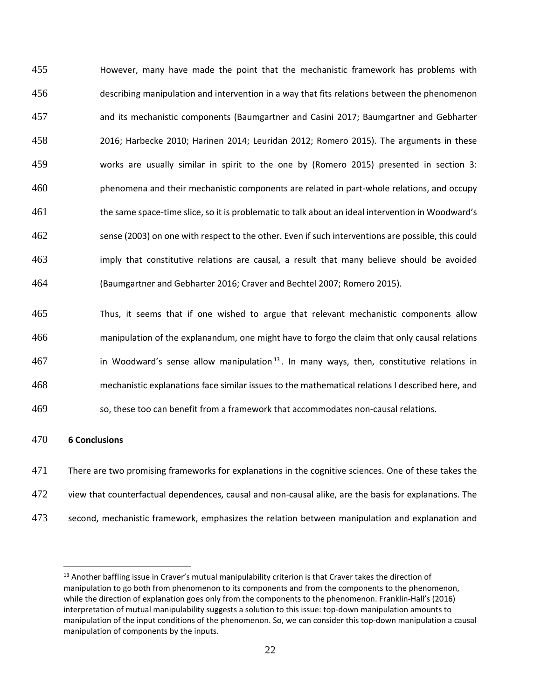However, many have made the point that the mechanistic framework has problems with describing manipulation and intervention in a way that fits relations between the phenomenon and its mechanistic components (Baumgartner and Casini 2017; Baumgartner and Gebharter 2016; Harbecke 2010; Harinen 2014; Leuridan 2012; Romero 2015). The arguments in these works are usually similar in spirit to the one by (Romero 2015) presented in section 3: phenomena and their mechanistic components are related in part-whole relations, and occupy the same space-time slice, so it is problematic to talk about an ideal intervention in Woodward's sense (2003) on one with respect to the other. Even if such interventions are possible, this could imply that constitutive relations are causal, a result that many believe should be avoided (Baumgartner and Gebharter 2016; Craver and Bechtel 2007; Romero 2015).

 Thus, it seems that if one wished to argue that relevant mechanistic components allow manipulation of the explanandum, one might have to forgo the claim that only causal relations in Woodward's sense allow manipulation  $^{13}$ . In many ways, then, constitutive relations in mechanistic explanations face similar issues to the mathematical relations I described here, and

so, these too can benefit from a framework that accommodates non-causal relations.

### **6 Conclusions**

- There are two promising frameworks for explanations in the cognitive sciences. One of these takes the
- view that counterfactual dependences, causal and non-causal alike, are the basis for explanations. The
- second, mechanistic framework, emphasizes the relation between manipulation and explanation and

<sup>&</sup>lt;sup>13</sup> Another baffling issue in Craver's mutual manipulability criterion is that Craver takes the direction of manipulation to go both from phenomenon to its components and from the components to the phenomenon, while the direction of explanation goes only from the components to the phenomenon. Franklin-Hall's (2016) interpretation of mutual manipulability suggests a solution to this issue: top-down manipulation amounts to manipulation of the input conditions of the phenomenon. So, we can consider this top-down manipulation a causal manipulation of components by the inputs.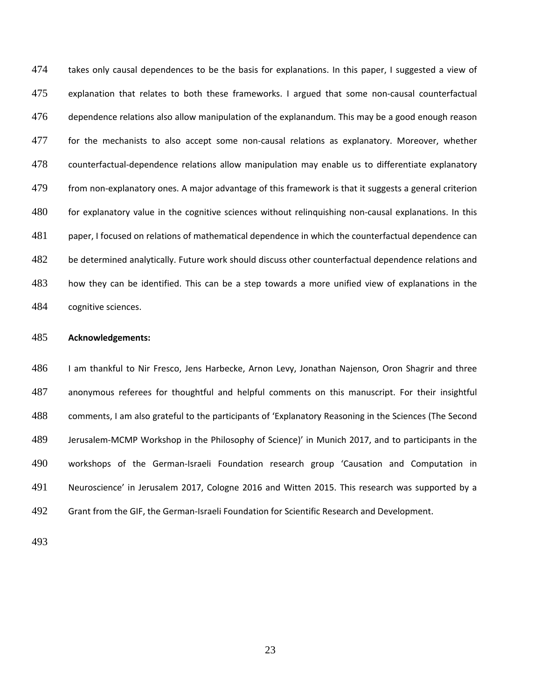474 takes only causal dependences to be the basis for explanations. In this paper, I suggested a view of explanation that relates to both these frameworks. I argued that some non-causal counterfactual dependence relations also allow manipulation of the explanandum. This may be a good enough reason for the mechanists to also accept some non-causal relations as explanatory. Moreover, whether counterfactual-dependence relations allow manipulation may enable us to differentiate explanatory from non-explanatory ones. A major advantage of this framework is that it suggests a general criterion for explanatory value in the cognitive sciences without relinquishing non-causal explanations. In this paper, I focused on relations of mathematical dependence in which the counterfactual dependence can 482 be determined analytically. Future work should discuss other counterfactual dependence relations and how they can be identified. This can be a step towards a more unified view of explanations in the cognitive sciences.

### **Acknowledgements:**

 I am thankful to Nir Fresco, Jens Harbecke, Arnon Levy, Jonathan Najenson, Oron Shagrir and three anonymous referees for thoughtful and helpful comments on this manuscript. For their insightful comments, I am also grateful to the participants of 'Explanatory Reasoning in the Sciences (The Second Jerusalem-MCMP Workshop in the Philosophy of Science)' in Munich 2017, and to participants in the workshops of the German-Israeli Foundation research group 'Causation and Computation in Neuroscience' in Jerusalem 2017, Cologne 2016 and Witten 2015. This research was supported by a Grant from the GIF, the German-Israeli Foundation for Scientific Research and Development.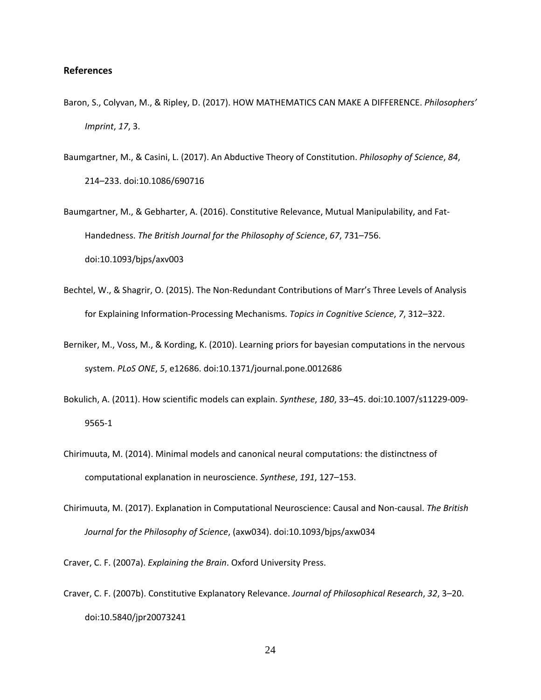### **References**

- Baron, S., Colyvan, M., & Ripley, D. (2017). HOW MATHEMATICS CAN MAKE A DIFFERENCE. *Philosophers' Imprint*, *17*, 3.
- Baumgartner, M., & Casini, L. (2017). An Abductive Theory of Constitution. *Philosophy of Science*, *84*, 214–233. doi:10.1086/690716
- Baumgartner, M., & Gebharter, A. (2016). Constitutive Relevance, Mutual Manipulability, and Fat-Handedness. *The British Journal for the Philosophy of Science*, *67*, 731–756. doi:10.1093/bjps/axv003
- Bechtel, W., & Shagrir, O. (2015). The Non-Redundant Contributions of Marr's Three Levels of Analysis for Explaining Information-Processing Mechanisms. *Topics in Cognitive Science*, *7*, 312–322.
- Berniker, M., Voss, M., & Kording, K. (2010). Learning priors for bayesian computations in the nervous system. *PLoS ONE*, *5*, e12686. doi:10.1371/journal.pone.0012686
- Bokulich, A. (2011). How scientific models can explain. *Synthese*, *180*, 33–45. doi:10.1007/s11229-009- 9565-1
- Chirimuuta, M. (2014). Minimal models and canonical neural computations: the distinctness of computational explanation in neuroscience. *Synthese*, *191*, 127–153.
- Chirimuuta, M. (2017). Explanation in Computational Neuroscience: Causal and Non-causal. *The British Journal for the Philosophy of Science*, (axw034). doi:10.1093/bjps/axw034

Craver, C. F. (2007a). *Explaining the Brain*. Oxford University Press.

Craver, C. F. (2007b). Constitutive Explanatory Relevance. *Journal of Philosophical Research*, *32*, 3–20. doi:10.5840/jpr20073241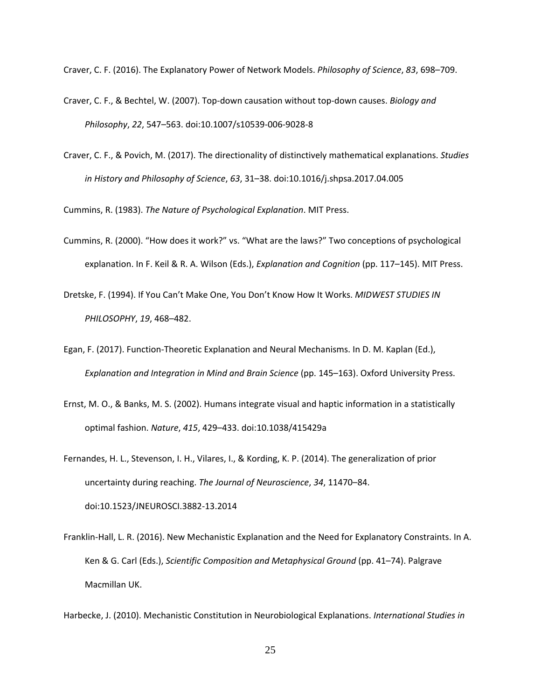Craver, C. F. (2016). The Explanatory Power of Network Models. *Philosophy of Science*, *83*, 698–709.

- Craver, C. F., & Bechtel, W. (2007). Top-down causation without top-down causes. *Biology and Philosophy*, *22*, 547–563. doi:10.1007/s10539-006-9028-8
- Craver, C. F., & Povich, M. (2017). The directionality of distinctively mathematical explanations. *Studies in History and Philosophy of Science*, *63*, 31–38. doi:10.1016/j.shpsa.2017.04.005

Cummins, R. (1983). *The Nature of Psychological Explanation*. MIT Press.

- Cummins, R. (2000). "How does it work?" vs. "What are the laws?" Two conceptions of psychological explanation. In F. Keil & R. A. Wilson (Eds.), *Explanation and Cognition* (pp. 117–145). MIT Press.
- Dretske, F. (1994). If You Can't Make One, You Don't Know How It Works. *MIDWEST STUDIES IN PHILOSOPHY*, *19*, 468–482.
- Egan, F. (2017). Function-Theoretic Explanation and Neural Mechanisms. In D. M. Kaplan (Ed.), *Explanation and Integration in Mind and Brain Science* (pp. 145–163). Oxford University Press.
- Ernst, M. O., & Banks, M. S. (2002). Humans integrate visual and haptic information in a statistically optimal fashion. *Nature*, *415*, 429–433. doi:10.1038/415429a
- Fernandes, H. L., Stevenson, I. H., Vilares, I., & Kording, K. P. (2014). The generalization of prior uncertainty during reaching. *The Journal of Neuroscience*, *34*, 11470–84. doi:10.1523/JNEUROSCI.3882-13.2014
- Franklin-Hall, L. R. (2016). New Mechanistic Explanation and the Need for Explanatory Constraints. In A. Ken & G. Carl (Eds.), *Scientific Composition and Metaphysical Ground* (pp. 41–74). Palgrave Macmillan UK.

Harbecke, J. (2010). Mechanistic Constitution in Neurobiological Explanations. *International Studies in*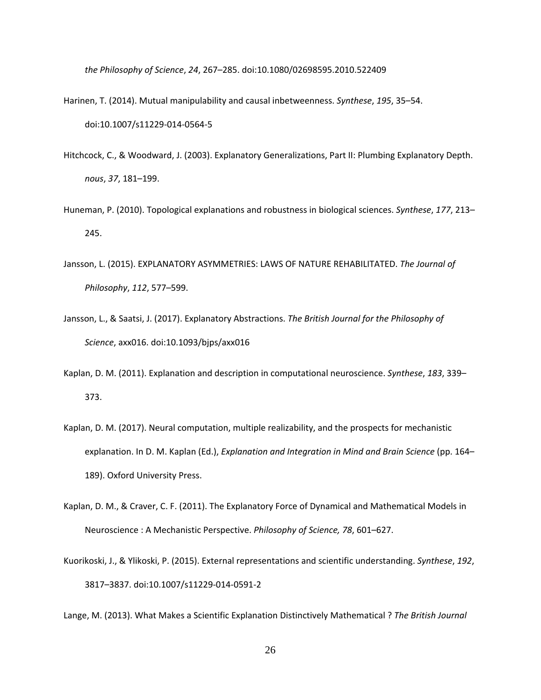*the Philosophy of Science*, *24*, 267–285. doi:10.1080/02698595.2010.522409

- Harinen, T. (2014). Mutual manipulability and causal inbetweenness. *Synthese*, *195*, 35–54. doi:10.1007/s11229-014-0564-5
- Hitchcock, C., & Woodward, J. (2003). Explanatory Generalizations, Part II: Plumbing Explanatory Depth. *nous*, *37*, 181–199.
- Huneman, P. (2010). Topological explanations and robustness in biological sciences. *Synthese*, *177*, 213– 245.
- Jansson, L. (2015). EXPLANATORY ASYMMETRIES: LAWS OF NATURE REHABILITATED. *The Journal of Philosophy*, *112*, 577–599.
- Jansson, L., & Saatsi, J. (2017). Explanatory Abstractions. *The British Journal for the Philosophy of Science*, axx016. doi:10.1093/bjps/axx016
- Kaplan, D. M. (2011). Explanation and description in computational neuroscience. *Synthese*, *183*, 339– 373.
- Kaplan, D. M. (2017). Neural computation, multiple realizability, and the prospects for mechanistic explanation. In D. M. Kaplan (Ed.), *Explanation and Integration in Mind and Brain Science* (pp. 164– 189). Oxford University Press.
- Kaplan, D. M., & Craver, C. F. (2011). The Explanatory Force of Dynamical and Mathematical Models in Neuroscience : A Mechanistic Perspective. *Philosophy of Science, 78*, 601–627.
- Kuorikoski, J., & Ylikoski, P. (2015). External representations and scientific understanding. *Synthese*, *192*, 3817–3837. doi:10.1007/s11229-014-0591-2

Lange, M. (2013). What Makes a Scientific Explanation Distinctively Mathematical ? *The British Journal*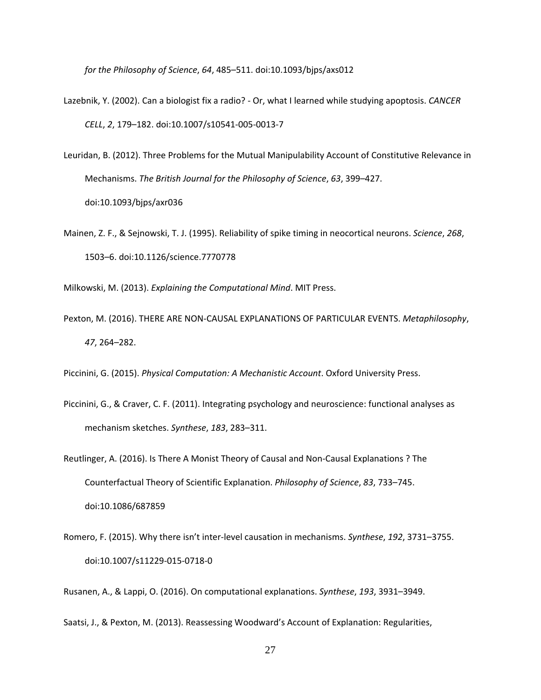*for the Philosophy of Science*, *64*, 485–511. doi:10.1093/bjps/axs012

- Lazebnik, Y. (2002). Can a biologist fix a radio? Or, what I learned while studying apoptosis. *CANCER CELL*, *2*, 179–182. doi:10.1007/s10541-005-0013-7
- Leuridan, B. (2012). Three Problems for the Mutual Manipulability Account of Constitutive Relevance in Mechanisms. *The British Journal for the Philosophy of Science*, *63*, 399–427. doi:10.1093/bjps/axr036
- Mainen, Z. F., & Sejnowski, T. J. (1995). Reliability of spike timing in neocortical neurons. *Science*, *268*, 1503–6. doi:10.1126/science.7770778

Milkowski, M. (2013). *Explaining the Computational Mind*. MIT Press.

Pexton, M. (2016). THERE ARE NON-CAUSAL EXPLANATIONS OF PARTICULAR EVENTS. *Metaphilosophy*, *47*, 264–282.

Piccinini, G. (2015). *Physical Computation: A Mechanistic Account*. Oxford University Press.

- Piccinini, G., & Craver, C. F. (2011). Integrating psychology and neuroscience: functional analyses as mechanism sketches. *Synthese*, *183*, 283–311.
- Reutlinger, A. (2016). Is There A Monist Theory of Causal and Non-Causal Explanations ? The Counterfactual Theory of Scientific Explanation. *Philosophy of Science*, *83*, 733–745. doi:10.1086/687859
- Romero, F. (2015). Why there isn't inter-level causation in mechanisms. *Synthese*, *192*, 3731–3755. doi:10.1007/s11229-015-0718-0

Rusanen, A., & Lappi, O. (2016). On computational explanations. *Synthese*, *193*, 3931–3949.

Saatsi, J., & Pexton, M. (2013). Reassessing Woodward's Account of Explanation: Regularities,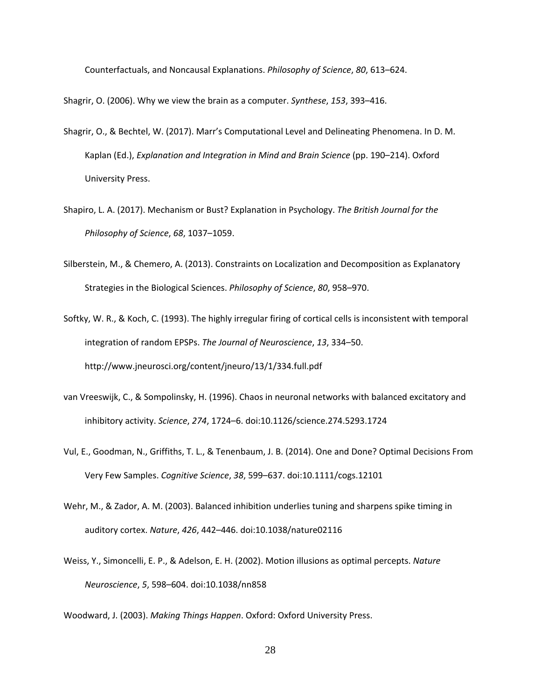Counterfactuals, and Noncausal Explanations. *Philosophy of Science*, *80*, 613–624.

Shagrir, O. (2006). Why we view the brain as a computer. *Synthese*, *153*, 393–416.

- Shagrir, O., & Bechtel, W. (2017). Marr's Computational Level and Delineating Phenomena. In D. M. Kaplan (Ed.), *Explanation and Integration in Mind and Brain Science* (pp. 190–214). Oxford University Press.
- Shapiro, L. A. (2017). Mechanism or Bust? Explanation in Psychology. *The British Journal for the Philosophy of Science*, *68*, 1037–1059.
- Silberstein, M., & Chemero, A. (2013). Constraints on Localization and Decomposition as Explanatory Strategies in the Biological Sciences. *Philosophy of Science*, *80*, 958–970.
- Softky, W. R., & Koch, C. (1993). The highly irregular firing of cortical cells is inconsistent with temporal integration of random EPSPs. *The Journal of Neuroscience*, *13*, 334–50. http://www.jneurosci.org/content/jneuro/13/1/334.full.pdf
- van Vreeswijk, C., & Sompolinsky, H. (1996). Chaos in neuronal networks with balanced excitatory and inhibitory activity. *Science*, *274*, 1724–6. doi:10.1126/science.274.5293.1724
- Vul, E., Goodman, N., Griffiths, T. L., & Tenenbaum, J. B. (2014). One and Done? Optimal Decisions From Very Few Samples. *Cognitive Science*, *38*, 599–637. doi:10.1111/cogs.12101
- Wehr, M., & Zador, A. M. (2003). Balanced inhibition underlies tuning and sharpens spike timing in auditory cortex. *Nature*, *426*, 442–446. doi:10.1038/nature02116
- Weiss, Y., Simoncelli, E. P., & Adelson, E. H. (2002). Motion illusions as optimal percepts. *Nature Neuroscience*, *5*, 598–604. doi:10.1038/nn858

Woodward, J. (2003). *Making Things Happen*. Oxford: Oxford University Press.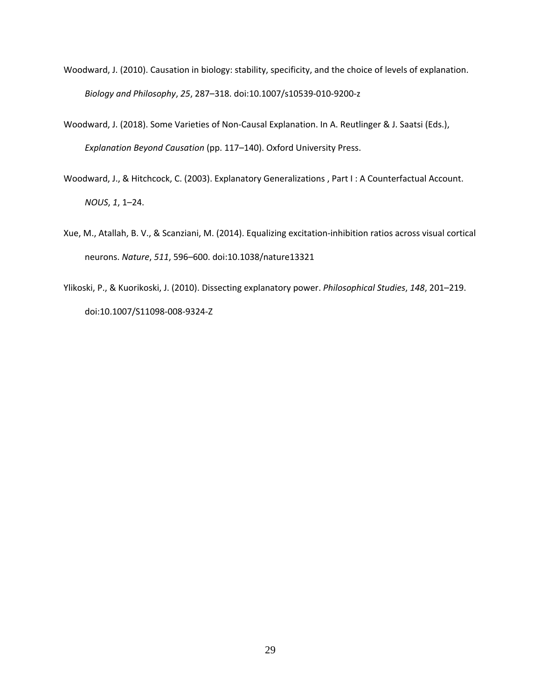- Woodward, J. (2010). Causation in biology: stability, specificity, and the choice of levels of explanation. *Biology and Philosophy*, *25*, 287–318. doi:10.1007/s10539-010-9200-z
- Woodward, J. (2018). Some Varieties of Non-Causal Explanation. In A. Reutlinger & J. Saatsi (Eds.), *Explanation Beyond Causation* (pp. 117–140). Oxford University Press.
- Woodward, J., & Hitchcock, C. (2003). Explanatory Generalizations , Part I : A Counterfactual Account. *NOUS*, *1*, 1–24.
- Xue, M., Atallah, B. V., & Scanziani, M. (2014). Equalizing excitation-inhibition ratios across visual cortical neurons. *Nature*, *511*, 596–600. doi:10.1038/nature13321
- Ylikoski, P., & Kuorikoski, J. (2010). Dissecting explanatory power. *Philosophical Studies*, *148*, 201–219. doi:10.1007/S11098-008-9324-Z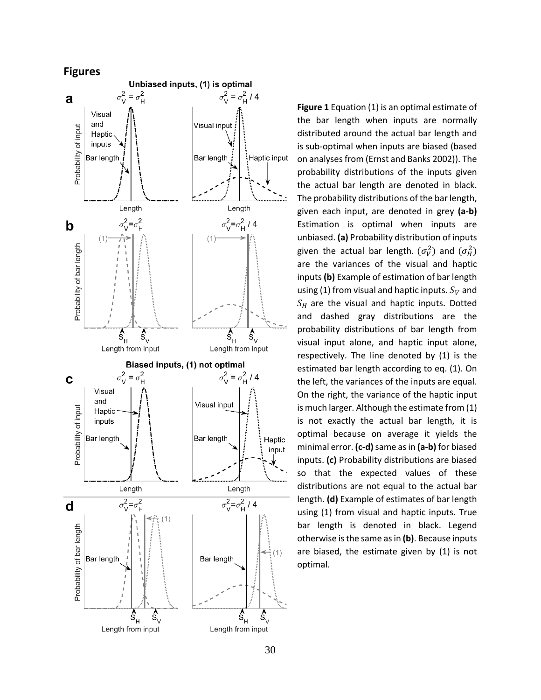



**Figure 1** Equation (1) is an optimal estimate of the bar length when inputs are normally distributed around the actual bar length and is sub -optimal when inputs are biased (based on analysesfrom (Ernst and Banks 2002)). The probability distributions of the inputs given the actual bar length are denoted in black. The probability distributions of the bar length , given each input , are denoted in grey **( a - b )** Estimation is optimal when inputs are unbiased. **( a )** Probability distribution of inputs given the actual bar length.  $(\sigma_V^2)$  and  $(\sigma_H^2)$ are the variances of the visual and haptic inputs (b) Example of estimation of bar length using (1) from visual and haptic inputs.  $S_V$  and  $\mathcal{S}_H$  are the visual and haptic inputs. Dotted and dashed gray distributions are the probability distributions of bar length from visual input alone, and haptic input alone , respectively . The line denoted by (1) is the estimated bar length according to eq. (1). On the left , the variances of the inputs are equal . On the right , the variance of the haptic input is much larger . Although the estimate from (1) is not exactly the actual bar length, it is optimal because on average it yields the minimal error . **( c - d )**same asin **( a - b )** for biased inputs. **( c )** Probability distributions are biased so that the expected values of these distributions are not equal to the actual bar length. **( d )** Example of estimates of bar length using (1) from visual and haptic inputs. True bar length is denoted in black. Legend otherwise isthe same asin **( b )** . Because inputs are biased, the estimate given by (1) is not optimal.